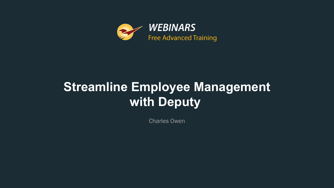

# **Streamline Employee Management with Deputy**

Charles Owen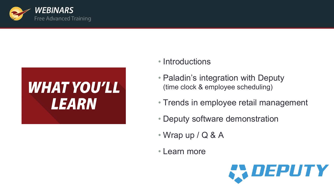

# **WHAT YOU'LL LEARN**

#### • Introductions

- Paladin's integration with Deputy (time clock & employee scheduling)
- Trends in employee retail management
- Deputy software demonstration
- Wrap up / Q & A
- Learn more

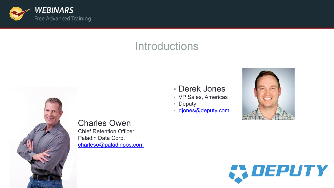

#### **Introductions**



- VP Sales, Americas
- Deputy
- [djones@deputy.com](mailto:djones@deputy.com)





**Charles Owen Chief Retention Officer** Paladin Data Corp. [charleso@paladinpos.com](mailto:charleso@paladinpos.com)

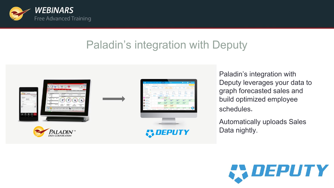

## Paladin's integration with Deputy



Paladin's integration with Deputy leverages your data to graph forecasted sales and build optimized employee schedules.

• Automatically uploads Sales Data nightly.

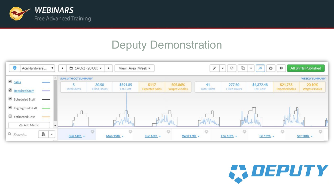

#### Deputy Demonstration



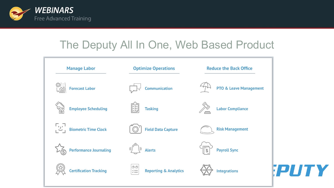

#### The Deputy All In One, Web Based Product

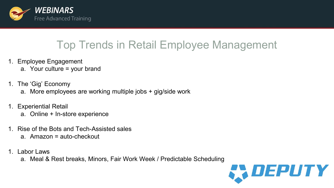

### Top Trends in Retail Employee Management

- 1. Employee Engagement
	- a. Your culture = your brand
- 1. The 'Gig' Economy
	- a. More employees are working multiple jobs + gig/side work
- 1. Experiential Retail
	- a. Online + In-store experience
- 1. Rise of the Bots and Tech-Assisted sales a. Amazon = auto-checkout
- 1. Labor Laws
	- a. Meal & Rest breaks, Minors, Fair Work Week / Predictable Scheduling

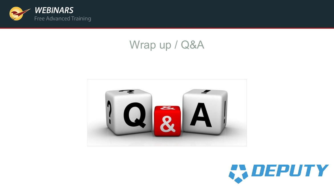

#### Wrap up / Q&A



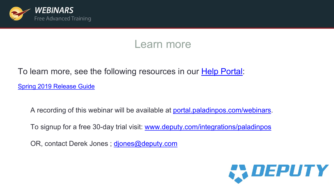

#### Learn more

# To learn more, see the following resources in our **[Help Portal](https://portal.paladinpos.com/)**:

Spring 2019 [Release Guide](https://portal.paladinpos.com/release-notes/new-features/spring-2019-release-guide/)

A recording of this webinar will be available at [portal.paladinpos.com/webinars](https://portal.paladinpos.com/webinars).

To signup for a free 30-day trial visit: [www.deputy.com/integrations/paladinpos](http://www.deputy.com/integrations/paladinpos)

OR, contact Derek Jones ; [djones@deputy.com](mailto:djones@deputy.com)